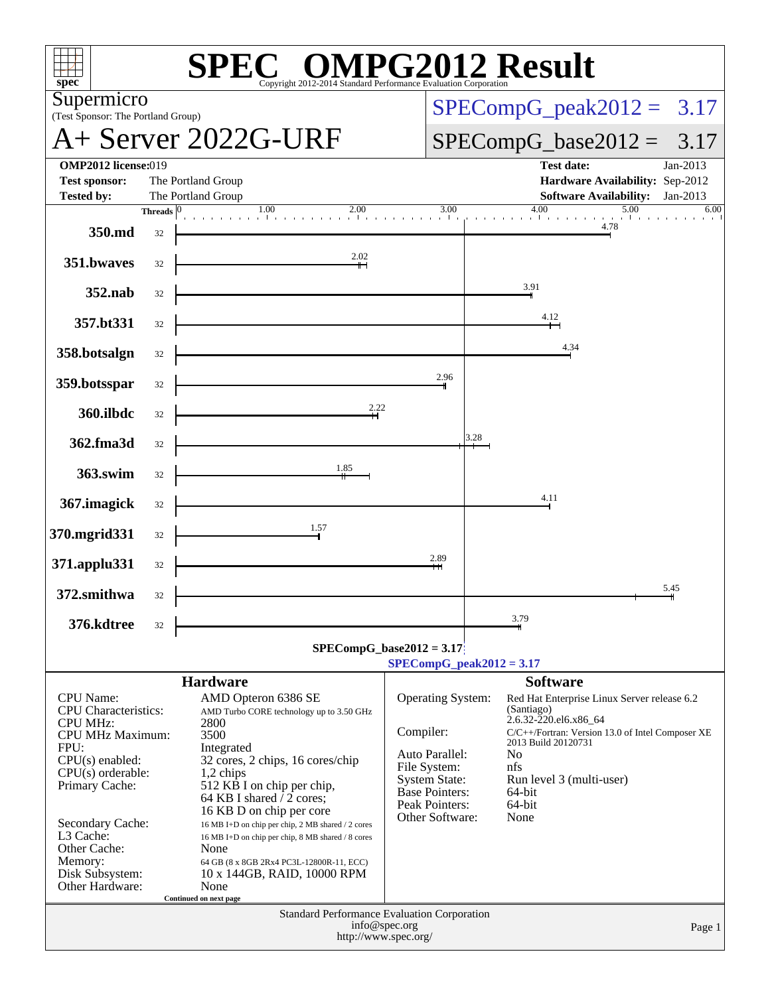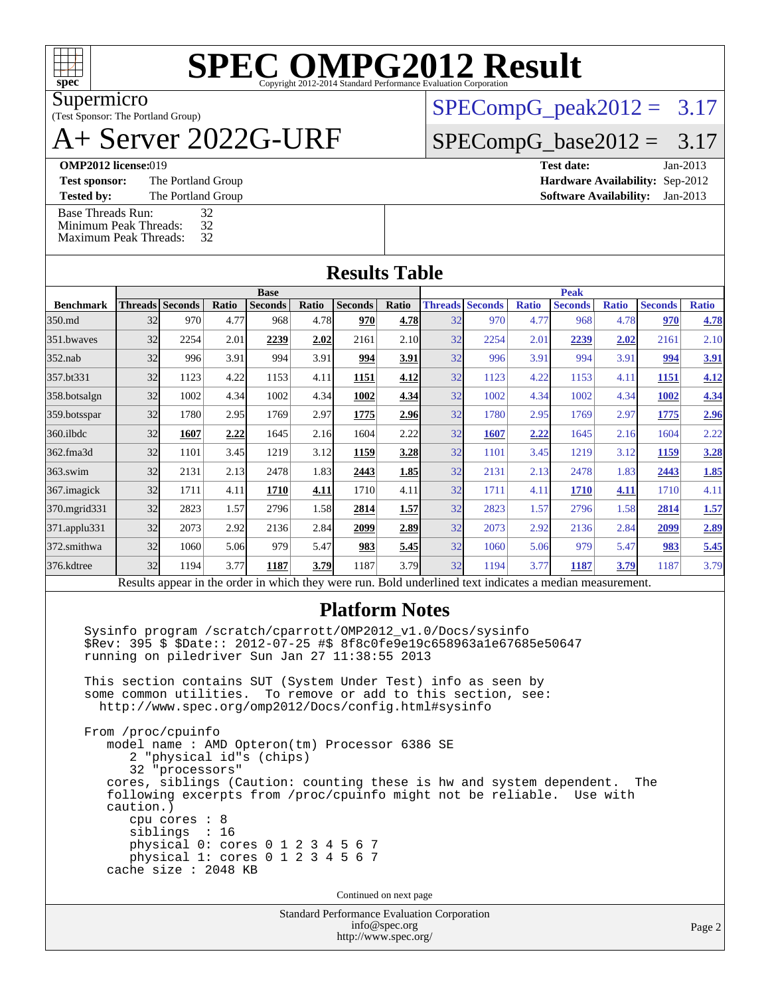

# **[SPEC OMPG2012 Result](http://www.spec.org/auto/omp2012/Docs/result-fields.html#SPECOMPG2012Result)**

Supermicro

#### (Test Sponsor: The Portland Group) A+ Server 2022G-URF

 $SPECompG_peak2012 = 3.17$  $SPECompG_peak2012 = 3.17$ 

 $SPECompG_base2012 = 3.17$  $SPECompG_base2012 = 3.17$ 

[Base Threads Run:](http://www.spec.org/auto/omp2012/Docs/result-fields.html#BaseThreadsRun) 32<br>Minimum Peak Threads: 32 [Minimum Peak Threads:](http://www.spec.org/auto/omp2012/Docs/result-fields.html#MinimumPeakThreads) 32<br>Maximum Peak Threads: 32

[Maximum Peak Threads:](http://www.spec.org/auto/omp2012/Docs/result-fields.html#MaximumPeakThreads)

| <b>OMP2012 license:019</b> |                    | Test date:                             | Jan-2013 |
|----------------------------|--------------------|----------------------------------------|----------|
| <b>Test sponsor:</b>       | The Portland Group | <b>Hardware Availability: Sep-2012</b> |          |
| <b>Tested by:</b>          | The Portland Group | <b>Software Availability:</b> Jan-2013 |          |

|                  | <b>Base</b>                                                                                              |                        |       |                |       |                | <b>Peak</b> |    |                        |              |                |              |                |              |
|------------------|----------------------------------------------------------------------------------------------------------|------------------------|-------|----------------|-------|----------------|-------------|----|------------------------|--------------|----------------|--------------|----------------|--------------|
| <b>Benchmark</b> |                                                                                                          | <b>Threads Seconds</b> | Ratio | <b>Seconds</b> | Ratio | <b>Seconds</b> | Ratio       |    | <b>Threads Seconds</b> | <b>Ratio</b> | <b>Seconds</b> | <b>Ratio</b> | <b>Seconds</b> | <b>Ratio</b> |
| 350.md           | 32                                                                                                       | 970                    | 4.77  | 968            | 4.78  | 970            | 4.78        | 32 | 970                    | 4.77         | 968            | 4.78         | 970            | 4.78         |
| 351.bwayes       | 32                                                                                                       | 2254                   | 2.01  | 2239           | 2.02  | 2161           | 2.10        | 32 | 2254                   | 2.01         | 2239           | 2.02         | 2161           | 2.10         |
| $352$ .nab       | 32                                                                                                       | 996                    | 3.91  | 994            | 3.91  | 994            | 3.91        | 32 | 996                    | 3.91         | 994            | 3.91         | 994            | <u>3.91</u>  |
| 357.bt331        | 32                                                                                                       | 1123                   | 4.22  | 1153           | 4.11  | 1151           | 4.12        | 32 | 1123                   | 4.22         | 1153           | 4.11         | 1151           | 4.12         |
| 358.botsalgn     | 32                                                                                                       | 1002                   | 4.34  | 1002           | 4.34  | 1002           | 4.34        | 32 | 1002                   | 4.34         | 1002           | 4.34         | 1002           | 4.34         |
| 359.botsspar     | 32                                                                                                       | 1780                   | 2.95  | 1769           | 2.97  | 1775           | 2.96        | 32 | 1780                   | 2.95         | 1769           | 2.97         | 1775           | 2.96         |
| $360$ .ilbdc     | 32                                                                                                       | 1607                   | 2.22  | 1645           | 2.16  | 1604           | 2.22        | 32 | 1607                   | 2.22         | 1645           | 2.16         | 1604           | 2.22         |
| 362.fma3d        | 32                                                                                                       | 1101                   | 3.45  | 1219           | 3.12  | 1159           | 3.28        | 32 | 1101                   | 3.45         | 1219           | 3.12         | 1159           | 3.28         |
| $363$ .swim      | 32                                                                                                       | 2131                   | 2.13  | 2478           | 1.83  | 2443           | 1.85        | 32 | 2131                   | 2.13         | 2478           | 1.83         | 2443           | 1.85         |
| 367.imagick      | 32                                                                                                       | 1711                   | 4.11  | 1710           | 4.11  | 1710           | 4.11        | 32 | 1711                   | 4.11         | 1710           | 4.11         | 1710           | 4.11         |
| 370.mgrid331     | 32                                                                                                       | 2823                   | 1.57  | 2796           | 1.58  | 2814           | 1.57        | 32 | 2823                   | 1.57         | 2796           | 1.58         | 2814           | 1.57         |
| 371.applu331     | 32                                                                                                       | 2073                   | 2.92  | 2136           | 2.84  | 2099           | 2.89        | 32 | 2073                   | 2.92         | 2136           | 2.84         | 2099           | 2.89         |
| 372.smithwa      | 32                                                                                                       | 1060                   | 5.06  | 979            | 5.47  | 983            | 5.45        | 32 | 1060                   | 5.06         | 979            | 5.47         | 983            | 5.45         |
| 376.kdtree       | 32                                                                                                       | 1194                   | 3.77  | 1187           | 3.79  | 1187           | 3.79        | 32 | 1194                   | 3.77         | 1187           | <u>3.79</u>  | 1187           | 3.79         |
|                  | Results appear in the order in which they were run. Bold underlined text indicates a median measurement. |                        |       |                |       |                |             |    |                        |              |                |              |                |              |

### **[Platform Notes](http://www.spec.org/auto/omp2012/Docs/result-fields.html#PlatformNotes)**

 Sysinfo program /scratch/cparrott/OMP2012\_v1.0/Docs/sysinfo \$Rev: 395 \$ \$Date:: 2012-07-25 #\$ 8f8c0fe9e19c658963a1e67685e50647 running on piledriver Sun Jan 27 11:38:55 2013

 This section contains SUT (System Under Test) info as seen by some common utilities. To remove or add to this section, see: <http://www.spec.org/omp2012/Docs/config.html#sysinfo>

 From /proc/cpuinfo model name : AMD Opteron(tm) Processor 6386 SE 2 "physical id"s (chips) 32 "processors" cores, siblings (Caution: counting these is hw and system dependent. The following excerpts from /proc/cpuinfo might not be reliable. Use with caution.) cpu cores : 8 siblings : 16 physical 0: cores 0 1 2 3 4 5 6 7 physical 1: cores 0 1 2 3 4 5 6 7 cache size : 2048 KB

Continued on next page

Standard Performance Evaluation Corporation [info@spec.org](mailto:info@spec.org) <http://www.spec.org/>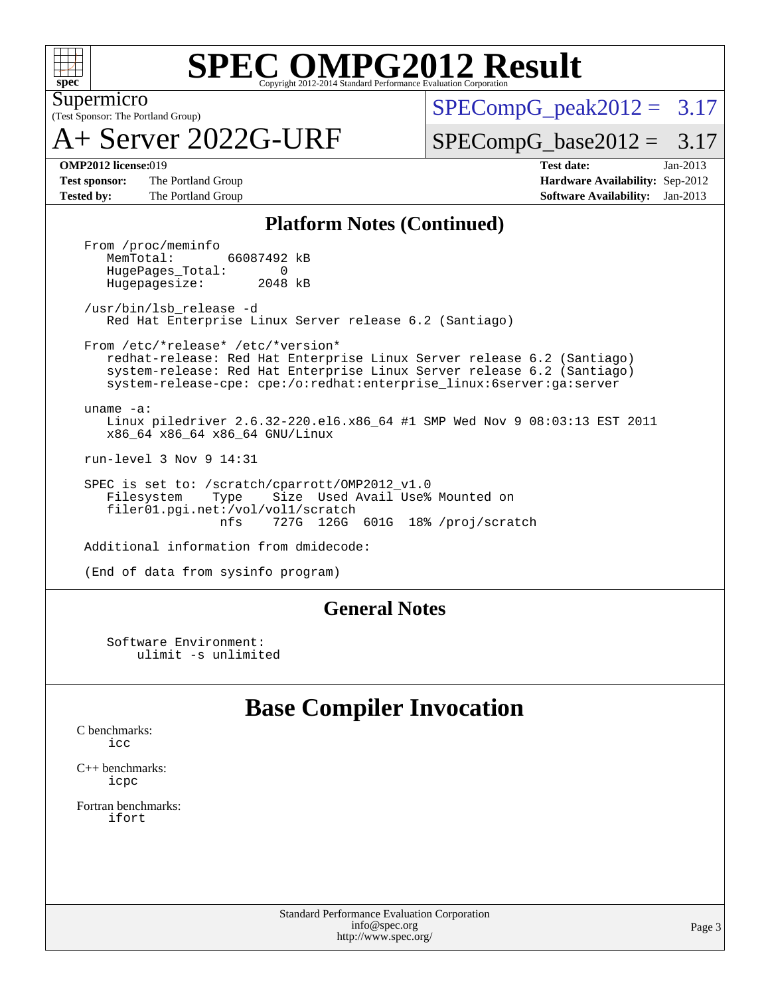

## **[SPEC OMPG2012 Result](http://www.spec.org/auto/omp2012/Docs/result-fields.html#SPECOMPG2012Result)**

(Test Sponsor: The Portland Group) Supermicro

A+ Server 2022G-URF

 $SPECompG<sub>peak2012</sub> = 3.17$ 

 $SPECompG_base2012 = 3.17$  $SPECompG_base2012 = 3.17$ 

**[Test sponsor:](http://www.spec.org/auto/omp2012/Docs/result-fields.html#Testsponsor)** The Portland Group **[Hardware Availability:](http://www.spec.org/auto/omp2012/Docs/result-fields.html#HardwareAvailability)** Sep-2012 **[Tested by:](http://www.spec.org/auto/omp2012/Docs/result-fields.html#Testedby)** The Portland Group **[Software Availability:](http://www.spec.org/auto/omp2012/Docs/result-fields.html#SoftwareAvailability)** Jan-2013

**[OMP2012 license:](http://www.spec.org/auto/omp2012/Docs/result-fields.html#OMP2012license)**019 **[Test date:](http://www.spec.org/auto/omp2012/Docs/result-fields.html#Testdate)** Jan-2013

#### **[Platform Notes \(Continued\)](http://www.spec.org/auto/omp2012/Docs/result-fields.html#PlatformNotes)**

From /proc/meminfo<br>MemTotal: 66087492 kB HugePages\_Total: 0<br>Hugepagesize: 2048 kB Hugepagesize:

 /usr/bin/lsb\_release -d Red Hat Enterprise Linux Server release 6.2 (Santiago)

 From /etc/\*release\* /etc/\*version\* redhat-release: Red Hat Enterprise Linux Server release 6.2 (Santiago) system-release: Red Hat Enterprise Linux Server release 6.2 (Santiago) system-release-cpe: cpe:/o:redhat:enterprise\_linux:6server:ga:server

 uname -a: Linux piledriver 2.6.32-220.el6.x86\_64 #1 SMP Wed Nov 9 08:03:13 EST 2011 x86\_64 x86\_64 x86\_64 GNU/Linux

run-level 3 Nov 9 14:31

SPEC is set to: /scratch/cparrott/OMP2012\_v1.0<br>Filesystem Type Size Used Avail Use% Filesystem Type Size Used Avail Use% Mounted on filer01.pgi.net:/vol/vol1/scratch<br>nfs 727G 126G 727G 126G 601G 18% /proj/scratch

Additional information from dmidecode:

(End of data from sysinfo program)

### **[General Notes](http://www.spec.org/auto/omp2012/Docs/result-fields.html#GeneralNotes)**

 Software Environment: ulimit -s unlimited

## **[Base Compiler Invocation](http://www.spec.org/auto/omp2012/Docs/result-fields.html#BaseCompilerInvocation)**

[C benchmarks](http://www.spec.org/auto/omp2012/Docs/result-fields.html#Cbenchmarks): [icc](http://www.spec.org/omp2012/results/res2013q1/omp2012-20130205-00019.flags.html#user_CCbase_intel_icc_a87c68a857bc5ec5362391a49d3a37a6)

[C++ benchmarks:](http://www.spec.org/auto/omp2012/Docs/result-fields.html#CXXbenchmarks) [icpc](http://www.spec.org/omp2012/results/res2013q1/omp2012-20130205-00019.flags.html#user_CXXbase_intel_icpc_2d899f8d163502b12eb4a60069f80c1c)

[Fortran benchmarks](http://www.spec.org/auto/omp2012/Docs/result-fields.html#Fortranbenchmarks): [ifort](http://www.spec.org/omp2012/results/res2013q1/omp2012-20130205-00019.flags.html#user_FCbase_intel_ifort_8a5e5e06b19a251bdeaf8fdab5d62f20)

> Standard Performance Evaluation Corporation [info@spec.org](mailto:info@spec.org) <http://www.spec.org/>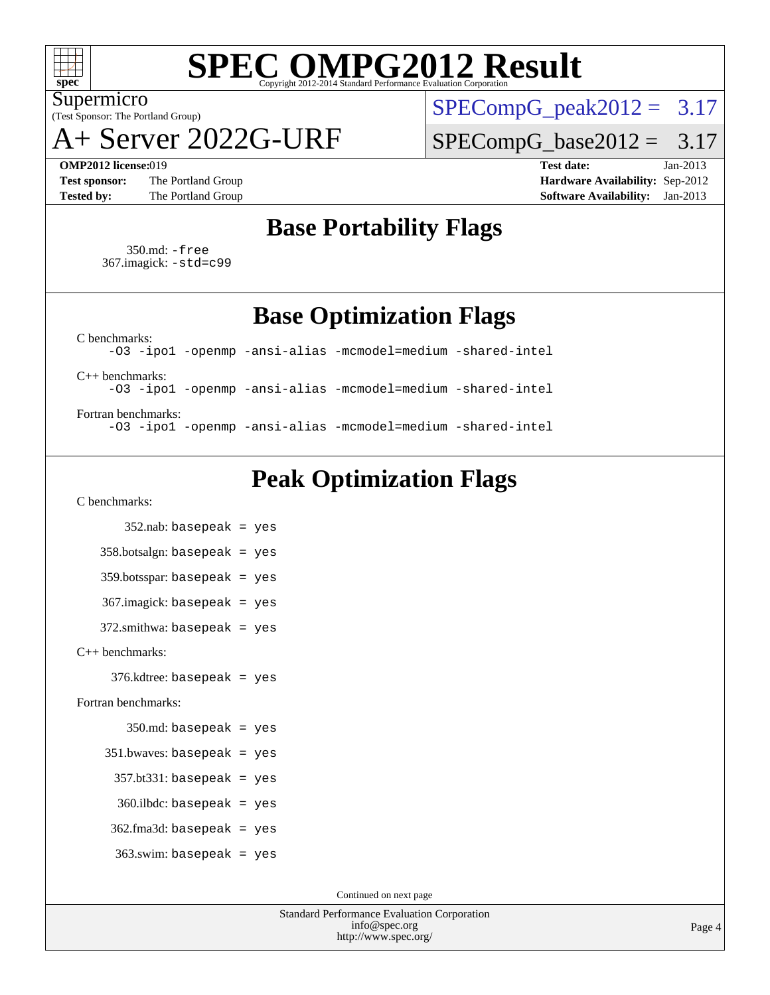

# **[SPEC OMPG2012 Result](http://www.spec.org/auto/omp2012/Docs/result-fields.html#SPECOMPG2012Result)**

(Test Sponsor: The Portland Group) Supermicro

A+ Server 2022G-URF

 $SPECompG_peak2012 = 3.17$  $SPECompG_peak2012 = 3.17$ 

 $SPECompG_base2012 = 3.17$  $SPECompG_base2012 = 3.17$ 

**[Test sponsor:](http://www.spec.org/auto/omp2012/Docs/result-fields.html#Testsponsor)** The Portland Group **[Hardware Availability:](http://www.spec.org/auto/omp2012/Docs/result-fields.html#HardwareAvailability)** Sep-2012

**[OMP2012 license:](http://www.spec.org/auto/omp2012/Docs/result-fields.html#OMP2012license)**019 **[Test date:](http://www.spec.org/auto/omp2012/Docs/result-fields.html#Testdate)** Jan-2013 **[Tested by:](http://www.spec.org/auto/omp2012/Docs/result-fields.html#Testedby)** The Portland Group **[Software Availability:](http://www.spec.org/auto/omp2012/Docs/result-fields.html#SoftwareAvailability)** Jan-2013

## **[Base Portability Flags](http://www.spec.org/auto/omp2012/Docs/result-fields.html#BasePortabilityFlags)**

 350.md: [-free](http://www.spec.org/omp2012/results/res2013q1/omp2012-20130205-00019.flags.html#user_baseFPORTABILITY350_md_free) 367.imagick: [-std=c99](http://www.spec.org/omp2012/results/res2013q1/omp2012-20130205-00019.flags.html#user_baseCPORTABILITY367_imagick_std_2ec6533b6e06f1c4a6c9b78d9e9cde24)

**[Base Optimization Flags](http://www.spec.org/auto/omp2012/Docs/result-fields.html#BaseOptimizationFlags)**

[C benchmarks](http://www.spec.org/auto/omp2012/Docs/result-fields.html#Cbenchmarks): [-O3](http://www.spec.org/omp2012/results/res2013q1/omp2012-20130205-00019.flags.html#user_CCbase_f-O3) [-ipo1](http://www.spec.org/omp2012/results/res2013q1/omp2012-20130205-00019.flags.html#user_CCbase_f-ipo_116921c2575d566c213f1dd5e08493d2) [-openmp](http://www.spec.org/omp2012/results/res2013q1/omp2012-20130205-00019.flags.html#user_CCbase_f-openmp) [-ansi-alias](http://www.spec.org/omp2012/results/res2013q1/omp2012-20130205-00019.flags.html#user_CCbase_f-ansi-alias) [-mcmodel=medium](http://www.spec.org/omp2012/results/res2013q1/omp2012-20130205-00019.flags.html#user_CCbase_f-mcmodel_3a41622424bdd074c4f0f2d2f224c7e5) [-shared-intel](http://www.spec.org/omp2012/results/res2013q1/omp2012-20130205-00019.flags.html#user_CCbase_f-shared-intel) [C++ benchmarks:](http://www.spec.org/auto/omp2012/Docs/result-fields.html#CXXbenchmarks) [-O3](http://www.spec.org/omp2012/results/res2013q1/omp2012-20130205-00019.flags.html#user_CXXbase_f-O3) [-ipo1](http://www.spec.org/omp2012/results/res2013q1/omp2012-20130205-00019.flags.html#user_CXXbase_f-ipo_116921c2575d566c213f1dd5e08493d2) [-openmp](http://www.spec.org/omp2012/results/res2013q1/omp2012-20130205-00019.flags.html#user_CXXbase_f-openmp) [-ansi-alias](http://www.spec.org/omp2012/results/res2013q1/omp2012-20130205-00019.flags.html#user_CXXbase_f-ansi-alias) [-mcmodel=medium](http://www.spec.org/omp2012/results/res2013q1/omp2012-20130205-00019.flags.html#user_CXXbase_f-mcmodel_3a41622424bdd074c4f0f2d2f224c7e5) [-shared-intel](http://www.spec.org/omp2012/results/res2013q1/omp2012-20130205-00019.flags.html#user_CXXbase_f-shared-intel) [Fortran benchmarks](http://www.spec.org/auto/omp2012/Docs/result-fields.html#Fortranbenchmarks):

[-O3](http://www.spec.org/omp2012/results/res2013q1/omp2012-20130205-00019.flags.html#user_FCbase_f-O3) [-ipo1](http://www.spec.org/omp2012/results/res2013q1/omp2012-20130205-00019.flags.html#user_FCbase_f-ipo_116921c2575d566c213f1dd5e08493d2) [-openmp](http://www.spec.org/omp2012/results/res2013q1/omp2012-20130205-00019.flags.html#user_FCbase_f-openmp) [-ansi-alias](http://www.spec.org/omp2012/results/res2013q1/omp2012-20130205-00019.flags.html#user_FCbase_f-ansi-alias) [-mcmodel=medium](http://www.spec.org/omp2012/results/res2013q1/omp2012-20130205-00019.flags.html#user_FCbase_f-mcmodel_3a41622424bdd074c4f0f2d2f224c7e5) [-shared-intel](http://www.spec.org/omp2012/results/res2013q1/omp2012-20130205-00019.flags.html#user_FCbase_f-shared-intel)

## **[Peak Optimization Flags](http://www.spec.org/auto/omp2012/Docs/result-fields.html#PeakOptimizationFlags)**

[C benchmarks](http://www.spec.org/auto/omp2012/Docs/result-fields.html#Cbenchmarks):

 352.nab: basepeak = yes  $358.botsalign: basepeak = yes$  359.botsspar: basepeak = yes 367.imagick: basepeak = yes  $372$ .smithwa: basepeak = yes [C++ benchmarks:](http://www.spec.org/auto/omp2012/Docs/result-fields.html#CXXbenchmarks) 376.kdtree: basepeak = yes [Fortran benchmarks](http://www.spec.org/auto/omp2012/Docs/result-fields.html#Fortranbenchmarks):  $350$ .md: basepeak = yes 351.bwaves: basepeak = yes  $357.$ bt $331:$  basepeak = yes 360.ilbdc: basepeak = yes 362.fma3d: basepeak = yes 363.swim: basepeak = yes

Continued on next page

Standard Performance Evaluation Corporation [info@spec.org](mailto:info@spec.org) <http://www.spec.org/>